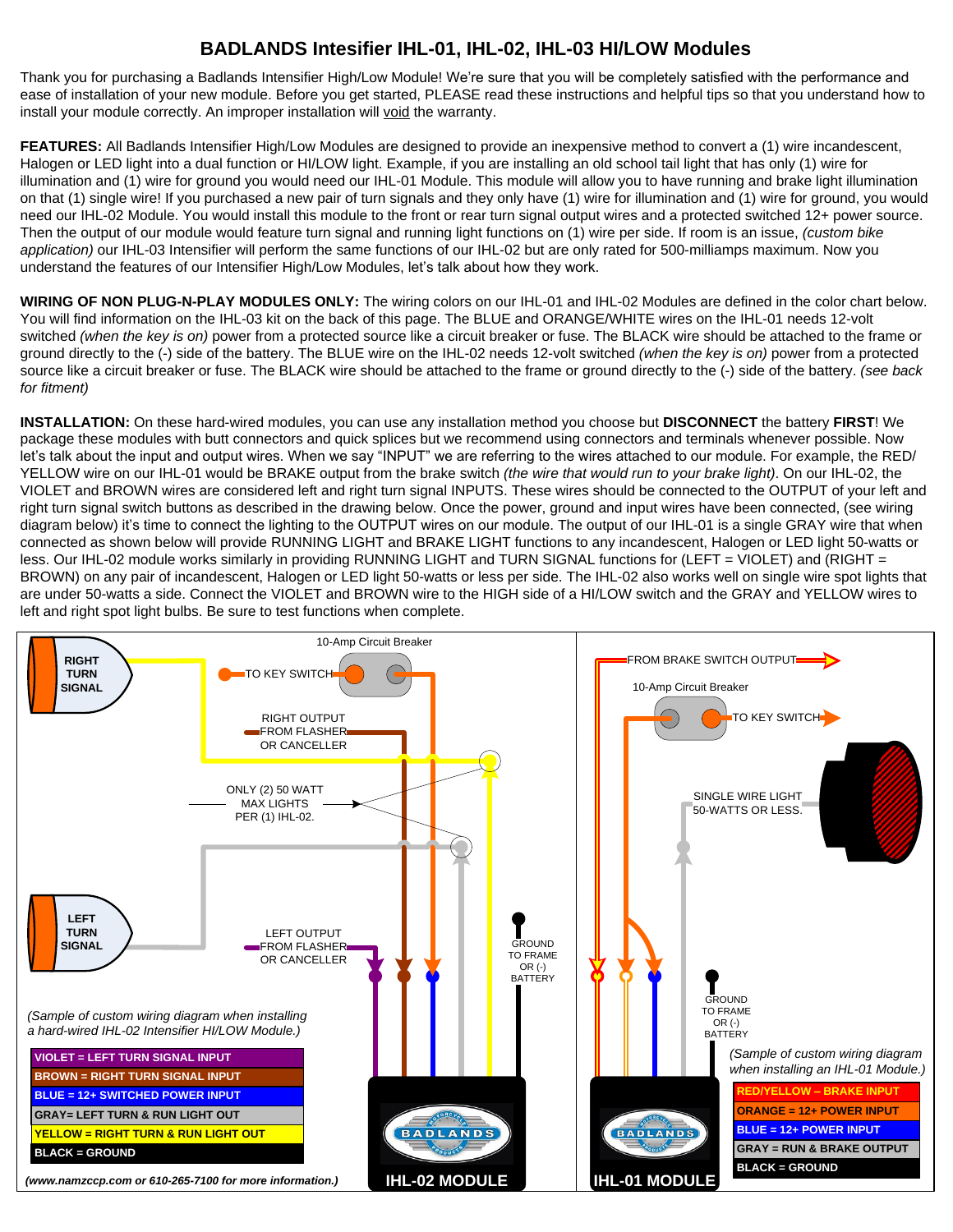## **BADLANDS Intesifier IHL-01, IHL-02, IHL-03 HI/LOW Modules**

Thank you for purchasing a Badlands Intensifier High/Low Module! We're sure that you will be completely satisfied with the performance and ease of installation of your new module. Before you get started, PLEASE read these instructions and helpful tips so that you understand how to install your module correctly. An improper installation will void the warranty.

**FEATURES:** All Badlands Intensifier High/Low Modules are designed to provide an inexpensive method to convert a (1) wire incandescent, Halogen or LED light into a dual function or HI/LOW light. Example, if you are installing an old school tail light that has only (1) wire for illumination and (1) wire for ground you would need our IHL-01 Module. This module will allow you to have running and brake light illumination on that (1) single wire! If you purchased a new pair of turn signals and they only have (1) wire for illumination and (1) wire for ground, you would need our IHL-02 Module. You would install this module to the front or rear turn signal output wires and a protected switched 12+ power source. Then the output of our module would feature turn signal and running light functions on (1) wire per side. If room is an issue, *(custom bike application)* our IHL-03 Intensifier will perform the same functions of our IHL-02 but are only rated for 500-milliamps maximum. Now you understand the features of our Intensifier High/Low Modules, let's talk about how they work.

**WIRING OF NON PLUG-N-PLAY MODULES ONLY:** The wiring colors on our IHL-01 and IHL-02 Modules are defined in the color chart below. You will find information on the IHL-03 kit on the back of this page. The BLUE and ORANGE/WHITE wires on the IHL-01 needs 12-volt switched *(when the key is on)* power from a protected source like a circuit breaker or fuse. The BLACK wire should be attached to the frame or ground directly to the (-) side of the battery. The BLUE wire on the IHL-02 needs 12-volt switched *(when the key is on)* power from a protected source like a circuit breaker or fuse. The BLACK wire should be attached to the frame or ground directly to the (-) side of the battery. *(see back for fitment)*

**INSTALLATION:** On these hard-wired modules, you can use any installation method you choose but **DISCONNECT** the battery **FIRST**! We package these modules with butt connectors and quick splices but we recommend using connectors and terminals whenever possible. Now let's talk about the input and output wires. When we say "INPUT" we are referring to the wires attached to our module. For example, the RED/ YELLOW wire on our IHL-01 would be BRAKE output from the brake switch *(the wire that would run to your brake light)*. On our IHL-02, the VIOLET and BROWN wires are considered left and right turn signal INPUTS. These wires should be connected to the OUTPUT of your left and right turn signal switch buttons as described in the drawing below. Once the power, ground and input wires have been connected, (see wiring diagram below) it's time to connect the lighting to the OUTPUT wires on our module. The output of our IHL-01 is a single GRAY wire that when connected as shown below will provide RUNNING LIGHT and BRAKE LIGHT functions to any incandescent, Halogen or LED light 50-watts or less. Our IHL-02 module works similarly in providing RUNNING LIGHT and TURN SIGNAL functions for (LEFT = VIOLET) and (RIGHT = BROWN) on any pair of incandescent, Halogen or LED light 50-watts or less per side. The IHL-02 also works well on single wire spot lights that are under 50-watts a side. Connect the VIOLET and BROWN wire to the HIGH side of a HI/LOW switch and the GRAY and YELLOW wires to left and right spot light bulbs. Be sure to test functions when complete.